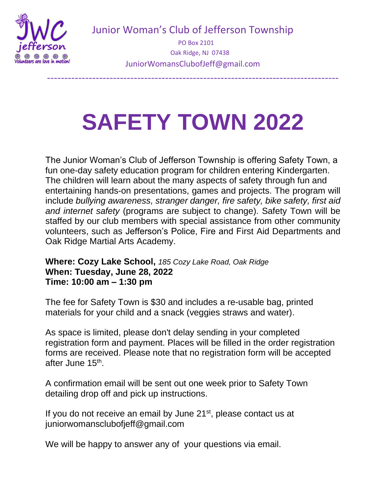

Junior Woman's Club of Jefferson Township

 PO Box 2101 Oak Ridge, NJ 07438 JuniorWomansClubofJeff@gmail.com

------------------------------------------------------------------------------------

## **SAFETY TOWN 2022**

The Junior Woman's Club of Jefferson Township is offering Safety Town, a fun one-day safety education program for children entering Kindergarten. The children will learn about the many aspects of safety through fun and entertaining hands-on presentations, games and projects. The program will include *bullying awareness, stranger danger, fire safety, bike safety, first aid and internet safety* (programs are subject to change). Safety Town will be staffed by our club members with special assistance from other community volunteers, such as Jefferson's Police, Fire and First Aid Departments and Oak Ridge Martial Arts Academy.

**Where: Cozy Lake School,** *185 Cozy Lake Road, Oak Ridge* **When: Tuesday, June 28, 2022 Time: 10:00 am – 1:30 pm**

The fee for Safety Town is \$30 and includes a re-usable bag, printed materials for your child and a snack (veggies straws and water).

As space is limited, please don't delay sending in your completed registration form and payment. Places will be filled in the order registration forms are received. Please note that no registration form will be accepted after June 15<sup>th</sup>.

A confirmation email will be sent out one week prior to Safety Town detailing drop off and pick up instructions.

If you do not receive an email by June 21<sup>st</sup>, please contact us at juniorwomansclubofjeff@gmail.com

We will be happy to answer any of your questions via email.